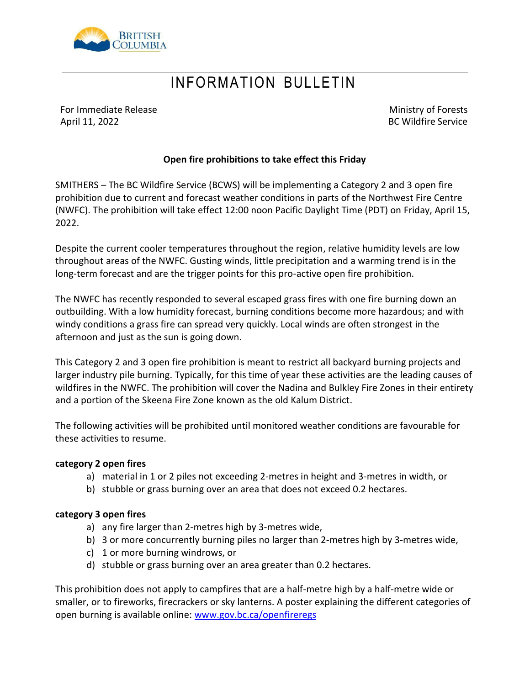

## INFORMATION BULLETIN

For Immediate Release April 11, 2022

Ministry of Forests BC Wildfire Service

### **Open fire prohibitions to take effect this Friday**

SMITHERS – The BC Wildfire Service (BCWS) will be implementing a Category 2 and 3 open fire prohibition due to current and forecast weather conditions in parts of the Northwest Fire Centre (NWFC). The prohibition will take effect 12:00 noon Pacific Daylight Time (PDT) on Friday, April 15, 2022.

Despite the current cooler temperatures throughout the region, relative humidity levels are low throughout areas of the NWFC. Gusting winds, little precipitation and a warming trend is in the long-term forecast and are the trigger points for this pro-active open fire prohibition.

The NWFC has recently responded to several escaped grass fires with one fire burning down an outbuilding. With a low humidity forecast, burning conditions become more hazardous; and with windy conditions a grass fire can spread very quickly. Local winds are often strongest in the afternoon and just as the sun is going down.

This Category 2 and 3 open fire prohibition is meant to restrict all backyard burning projects and larger industry pile burning. Typically, for this time of year these activities are the leading causes of wildfires in the NWFC. The prohibition will cover the Nadina and Bulkley Fire Zones in their entirety and a portion of the Skeena Fire Zone known as the old Kalum District.

The following activities will be prohibited until monitored weather conditions are favourable for these activities to resume.

#### **category 2 open fires**

- a) material in 1 or 2 piles not exceeding 2-metres in height and 3-metres in width, or
- b) stubble or grass burning over an area that does not exceed 0.2 hectares.

#### **category 3 open fires**

- a) any fire larger than 2-metres high by 3-metres wide,
- b) 3 or more concurrently burning piles no larger than 2-metres high by 3-metres wide,
- c) 1 or more burning windrows, or
- d) stubble or grass burning over an area greater than 0.2 hectares.

This prohibition does not apply to campfires that are a half-metre high by a half-metre wide or smaller, or to fireworks, firecrackers or sky lanterns. A poster explaining the different categories of open burning is available online: [www.gov.bc.ca/openfireregs](http://www.gov.bc.ca/openfireregs)